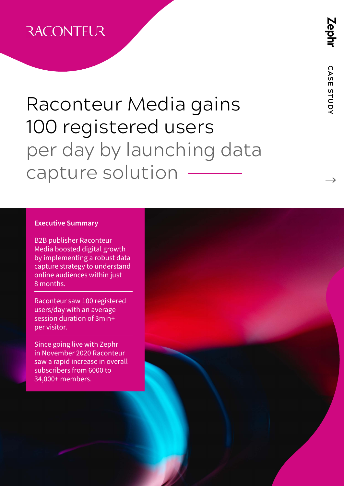#### **RACONTEUR**

# Raconteur Media gains 100 registered users per day by launching data capture solution

#### **Executive Summary**

B2B publisher Raconteur Media boosted digital growth by implementing a robust data capture strategy to understand online audiences within just 8 months.

Raconteur saw 100 registered users/day with an average session duration of 3min+ per visitor.

Since going live with Zephr in November 2020 Raconteur saw a rapid increase in overall subscribers from 6000 to 34,000+ members.



 **CASE STUDY**

CASE STUDY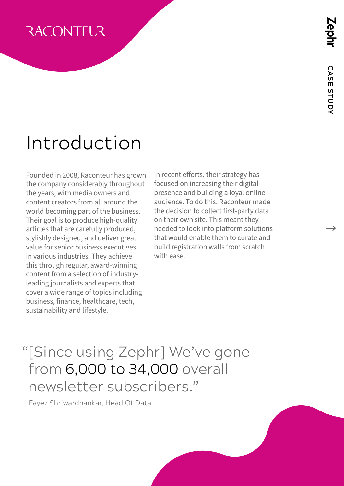#### **RACONTEUR**

### Introduction

Founded in 2008, Raconteur has grown the company considerably throughout the years, with media owners and content creators from all around the world becoming part of the business. Their goal is to produce high-quality articles that are carefully produced, stylishly designed, and deliver great value for senior business executives in various industries. They achieve this through regular, award-winning content from a selection of industryleading journalists and experts that cover a wide range of topics including business, finance, healthcare, tech, sustainability and lifestyle.

In recent efforts, their strategy has focused on increasing their digital presence and building a loyal online audience. To do this, Raconteur made the decision to collect first-party data on their own site. This meant they needed to look into platform solutions that would enable them to curate and build registration walls from scratch with ease.

#### "[Since using Zephr] We've gone from 6,000 to 34,000 overall newsletter subscribers."

Fayez Shriwardhankar, Head Of Data

 **CASE STUDY**

CASE STUDY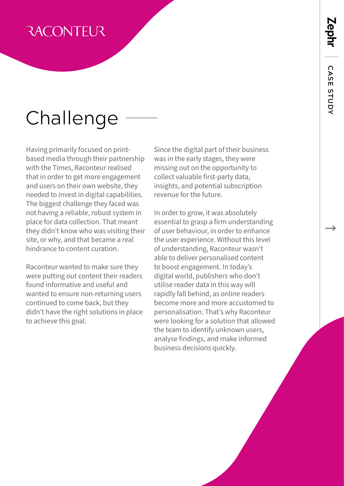# **CASE STUDY** CASE STUDY

#### **RACONTEUR**

# Challenge

Having primarily focused on printbased media through their partnership with the Times, Raconteur realised that in order to get more engagement and users on their own website, they needed to invest in digital capabilities. The biggest challenge they faced was not having a reliable, robust system in place for data collection. That meant they didn't know who was visiting their site, or why, and that became a real hindrance to content curation.

Raconteur wanted to make sure they were putting out content their readers found informative and useful and wanted to ensure non-returning users continued to come back, but they didn't have the right solutions in place to achieve this goal.

Since the digital part of their business was in the early stages, they were missing out on the opportunity to collect valuable first-party data, insights, and potential subscription revenue for the future.

In order to grow, it was absolutely essential to grasp a firm understanding of user behaviour, in order to enhance the user experience. Without this level of understanding, Raconteur wasn't able to deliver personalised content to boost engagement. In today's digital world, publishers who don't utilise reader data in this way will rapidly fall behind, as online readers become more and more accustomed to personalisation. That's why Raconteur were looking for a solution that allowed the team to identify unknown users, analyse findings, and make informed business decisions quickly.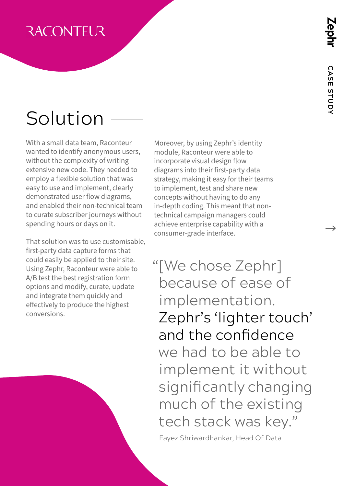# Zephr

#### **RACONTEUR**

# Solution

With a small data team, Raconteur wanted to identify anonymous users, without the complexity of writing extensive new code. They needed to employ a flexible solution that was easy to use and implement, clearly demonstrated user flow diagrams, and enabled their non-technical team to curate subscriber journeys without spending hours or days on it.

That solution was to use customisable, first-party data capture forms that could easily be applied to their site. Using Zephr, Raconteur were able to A/B test the best registration form options and modify, curate, update and integrate them quickly and effectively to produce the highest conversions.

Moreover, by using Zephr's identity module, Raconteur were able to incorporate visual design flow diagrams into their first-party data strategy, making it easy for their teams to implement, test and share new concepts without having to do any in-depth coding. This meant that nontechnical campaign managers could achieve enterprise capability with a consumer-grade interface.

"[We chose Zephr] because of ease of implementation. Zephr's 'lighter touch' and the confidence we had to be able to implement it without significantly changing much of the existing tech stack was key."

Fayez Shriwardhankar, Head Of Data